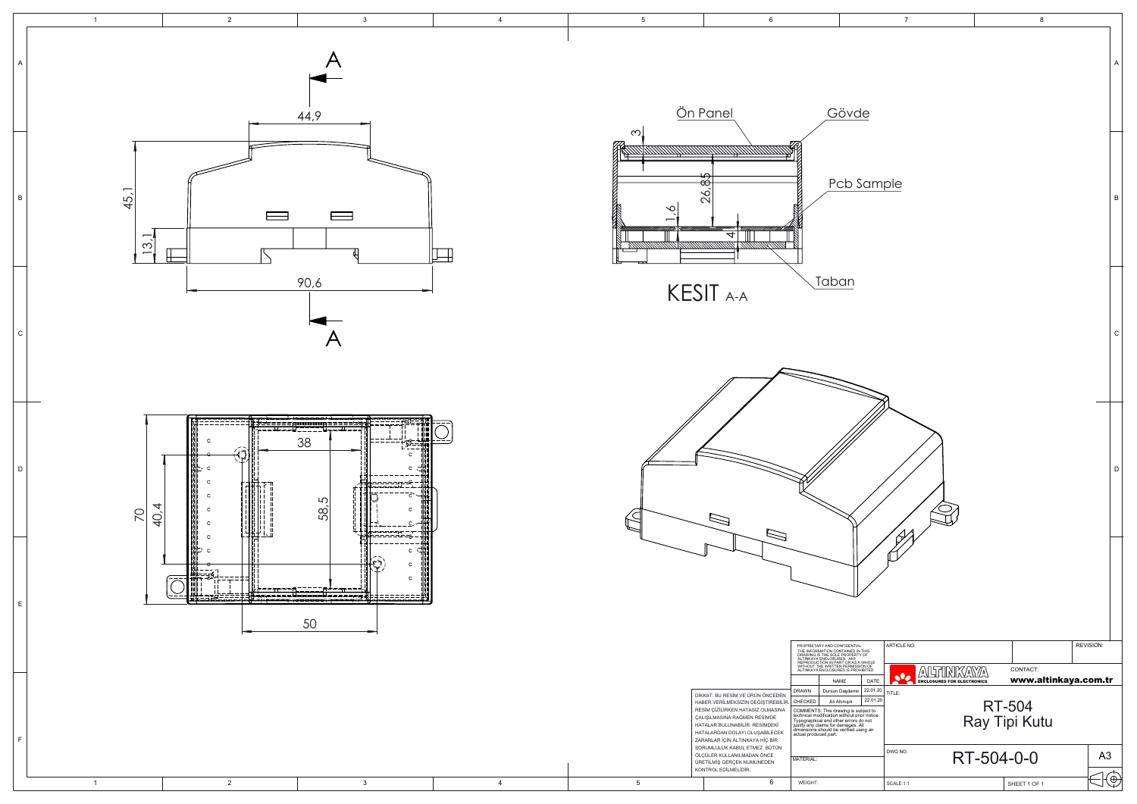|                                                                      | $\overline{7}$                 |                                                           |            |              | 8                    |  |                |             |
|----------------------------------------------------------------------|--------------------------------|-----------------------------------------------------------|------------|--------------|----------------------|--|----------------|-------------|
| de                                                                   |                                |                                                           |            |              |                      |  |                | Α           |
| Sample                                                               |                                |                                                           |            |              |                      |  |                | B           |
|                                                                      |                                |                                                           |            |              |                      |  |                | $\mathsf C$ |
| 7                                                                    |                                |                                                           |            |              |                      |  |                | D           |
|                                                                      |                                |                                                           |            |              |                      |  |                |             |
| AL<br>IN THIS<br>TY OF<br>A WHOLE<br>SION OF<br>DHIBITED.            | <b>ARTICLE NO:</b>             |                                                           |            |              |                      |  | REVISION:      |             |
| DATE<br>22.01.20                                                     | $\overline{\bullet}$<br>TITLE: | NIY<br>$\mathcal{L}$<br><b>ENCLOSURES FOR ELECTRONICS</b> | W)<br>'∆∖  | CONTACT:     | www.altinkaya.com.tr |  |                |             |
| 22.01.20<br>subject to<br>orior notice.<br>do not<br>All<br>using an | RT-504<br>Ray Tipi Kutu        |                                                           |            |              |                      |  |                |             |
|                                                                      | DWG NO.                        |                                                           | RT-504-0-0 |              |                      |  | A <sub>3</sub> |             |
|                                                                      | SCALE:1:1                      |                                                           |            | SHEET 1 OF 1 |                      |  |                | ⊕           |

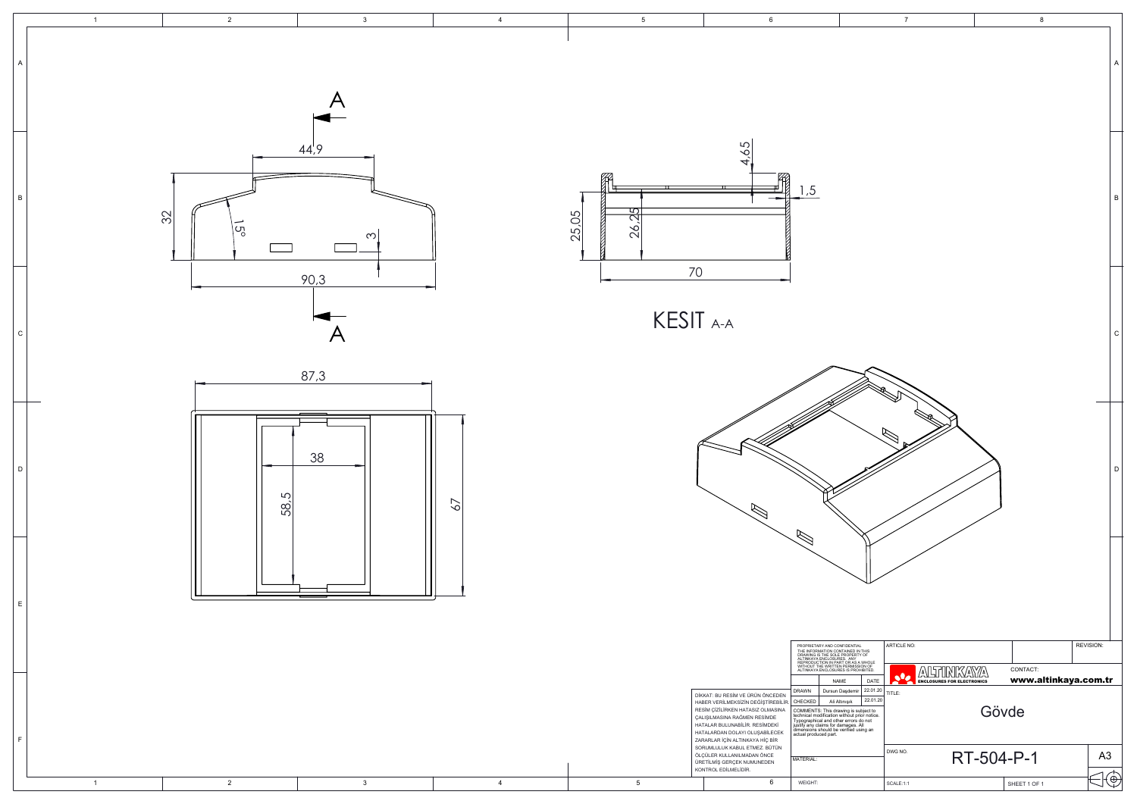|                                                                                                                                                                                               | $\overline{7}$                                                                                 |            | 8                                |                |
|-----------------------------------------------------------------------------------------------------------------------------------------------------------------------------------------------|------------------------------------------------------------------------------------------------|------------|----------------------------------|----------------|
|                                                                                                                                                                                               |                                                                                                |            |                                  | Α              |
|                                                                                                                                                                                               |                                                                                                |            |                                  | B              |
|                                                                                                                                                                                               |                                                                                                |            |                                  | C              |
|                                                                                                                                                                                               |                                                                                                |            |                                  | D              |
|                                                                                                                                                                                               |                                                                                                |            |                                  |                |
| TIAL<br>TIAL<br>D IN THIS<br>!RTY OF<br>Y S A WHOLE<br>ISSION OF<br>ROHIBITED.<br>DATE<br>22.01.20<br>mir<br>22.01.20<br>s subject to<br>! prior notice.<br>rs do not<br>s. All<br>I using an | ARTICLE NO:<br>NK<br>∕∆<br>$\mathcal{L}$<br>sle<br><b>ENCLOSURES FOR ELECTRONICS</b><br>TITLE: | A<br>Gövde | CONTACT:<br>www.altinkaya.com.tr | REVISION:      |
|                                                                                                                                                                                               | DWG NO.                                                                                        | RT-504-P-1 |                                  | A <sub>3</sub> |
|                                                                                                                                                                                               | SCALE:1:1                                                                                      |            | SHEET 1 OF 1                     | €              |

| $\overline{1}$ | $\overline{2}$              | $\mathbf{3}$                              | $\overline{4}$  | 5 <sub>5</sub>        | $6\phantom{.0}$                                                                                                                                                                                                                                                                                                                                          |                                                                                                                                                                                                                                                                                                                                                    | $7\overline{ }$                                                   |                                          |
|----------------|-----------------------------|-------------------------------------------|-----------------|-----------------------|----------------------------------------------------------------------------------------------------------------------------------------------------------------------------------------------------------------------------------------------------------------------------------------------------------------------------------------------------------|----------------------------------------------------------------------------------------------------------------------------------------------------------------------------------------------------------------------------------------------------------------------------------------------------------------------------------------------------|-------------------------------------------------------------------|------------------------------------------|
|                |                             | 44,9                                      |                 |                       | 65                                                                                                                                                                                                                                                                                                                                                       |                                                                                                                                                                                                                                                                                                                                                    |                                                                   |                                          |
| $\overline{B}$ | $\frac{1}{2}$<br>$\sqrt{5}$ | $\infty$                                  |                 | 174<br>26.25<br>25,05 | 41<br>70                                                                                                                                                                                                                                                                                                                                                 | , 5                                                                                                                                                                                                                                                                                                                                                |                                                                   |                                          |
| C              |                             | 90,3<br>$\boldsymbol{\mathsf{A}}$<br>87,3 |                 |                       | KESIT A-A                                                                                                                                                                                                                                                                                                                                                |                                                                                                                                                                                                                                                                                                                                                    |                                                                   |                                          |
| D              | 5<br>58                     | 38                                        | $\overline{67}$ |                       |                                                                                                                                                                                                                                                                                                                                                          |                                                                                                                                                                                                                                                                                                                                                    | R                                                                 |                                          |
| E              |                             |                                           |                 |                       |                                                                                                                                                                                                                                                                                                                                                          | PROPRIETARY AND CONFIDENTIAL<br>THE INFORMATION CONTAINED IN THIS<br>DRAWING IS THE SOLE PROPERTY OF<br>AETINKAYA ENCLOSURES. ANY<br>REPRODUCTION IN PART OR AS<br>A WITHOUT THE WRITTEN PERMISSION OF<br>ALTINKAYA ENCLOSURES IS PROHIBITED.                                                                                                      | ARTICLE NO:                                                       |                                          |
|                |                             |                                           |                 |                       | DİKKAT: BU RESİM VE ÜRÜN ÖNCEDEN<br>HABER VERİLMEKSİZİN DEĞİŞTİREBİLİR. CHECKED<br>RESİM ÇİZİLİRKEN HATASIZ OLMASINA<br>ÇALIŞILMASINA RAĞMEN RESİMDE<br>HATALAR BULUNABİLİR. RESİMDEKİ<br>HATALARDAN DOLAYI OLUŞABİLECEK<br>ZARARLAR İÇİN ALTINKAYA HİÇ BİR<br>SORUMLULUK KABUL ETMEZ. BÜTÜN<br>ÖLÇÜLER KULLANILMADAN ÖNCE<br>ÜRETİLMİŞ GERÇEK NUMUNEDEN | DATE<br>NAME<br> 22.01.20 <br><b>DRAWN</b><br>Dursun Daşdemir<br>22.01.20<br>Ali Altınışık<br>COMMENTS: This drawing is subject to<br>technical modification without prior notice.<br>Typographical and other errors do not<br>justify any claims for damages. All<br>dimensions should be verified using an<br>actual produced part.<br>MATERIAL: | <b>ALTINKAYA</b><br><b>CONTRACTED BUNION</b><br>TITLE:<br>DWG NO. | CONTACT:<br>www.a<br>Gövde<br>RT-504-P-1 |
| $\overline{1}$ | $\overline{2}$              | $\mathbf{3}$                              | $\overline{4}$  | $5\overline{)}$       | KONTROL EDİLMELİDİR.<br>$6\overline{6}$                                                                                                                                                                                                                                                                                                                  | WEIGHT:                                                                                                                                                                                                                                                                                                                                            | SCALE:1:1                                                         | SHEET 1 OF                               |